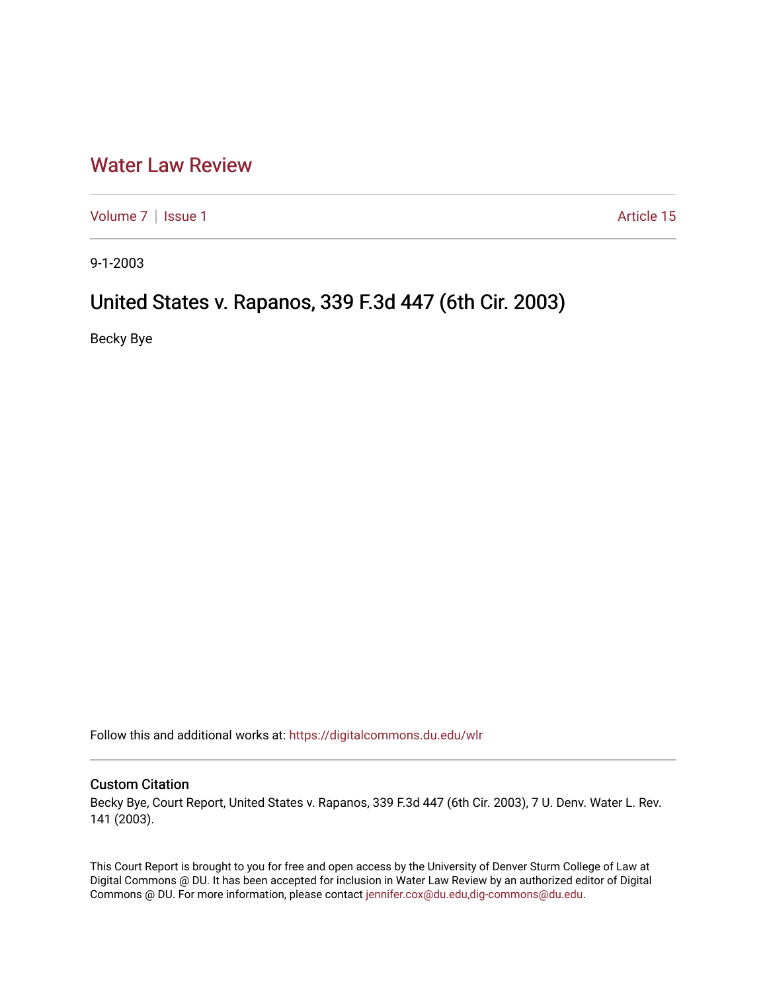## [Water Law Review](https://digitalcommons.du.edu/wlr)

[Volume 7](https://digitalcommons.du.edu/wlr/vol7) | [Issue 1](https://digitalcommons.du.edu/wlr/vol7/iss1) Article 15

9-1-2003

# United States v. Rapanos, 339 F.3d 447 (6th Cir. 2003)

Becky Bye

Follow this and additional works at: [https://digitalcommons.du.edu/wlr](https://digitalcommons.du.edu/wlr?utm_source=digitalcommons.du.edu%2Fwlr%2Fvol7%2Fiss1%2F15&utm_medium=PDF&utm_campaign=PDFCoverPages) 

## Custom Citation

Becky Bye, Court Report, United States v. Rapanos, 339 F.3d 447 (6th Cir. 2003), 7 U. Denv. Water L. Rev. 141 (2003).

This Court Report is brought to you for free and open access by the University of Denver Sturm College of Law at Digital Commons @ DU. It has been accepted for inclusion in Water Law Review by an authorized editor of Digital Commons @ DU. For more information, please contact [jennifer.cox@du.edu,dig-commons@du.edu.](mailto:jennifer.cox@du.edu,dig-commons@du.edu)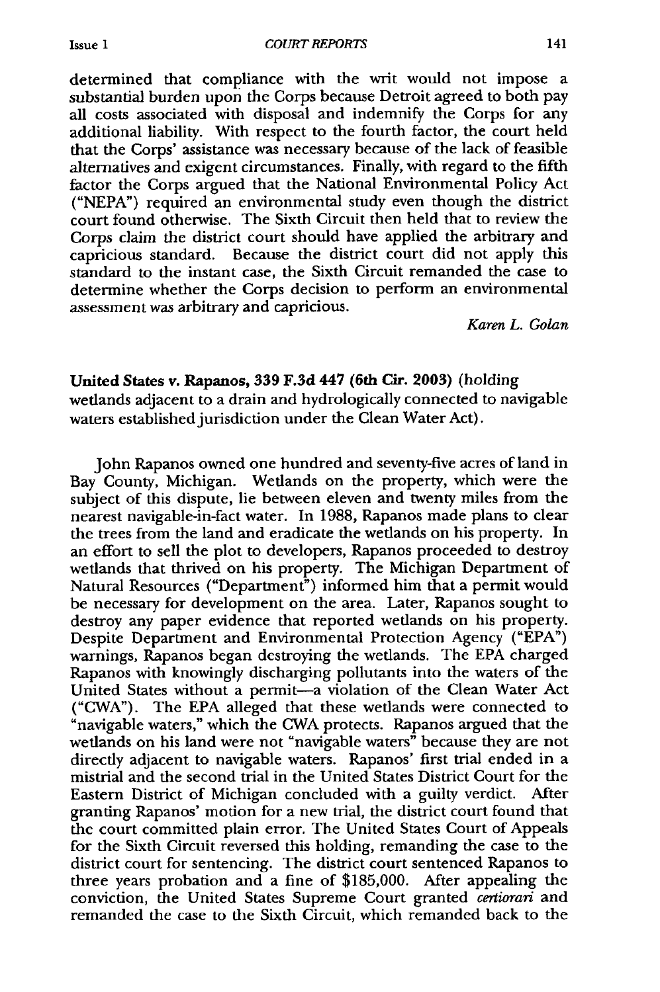*COURT REPORTS*

determined that compliance with the writ would not impose a substantial burden upon the Corps because Detroit agreed to both pay all costs associated with disposal and indemnify the Corps for any additional liability. With respect to the fourth factor, the court held that the Corps' assistance was necessary because of the lack of feasible alternatives and exigent circumstances. Finally, with regard to the fifth factor the Corps argued that the National Environmental Policy Act ("NEPA") required an environmental study even though the district court found otherwise. The Sixth Circuit then held that to review the Corps claim the district court should have applied the arbitrary and capricious standard. Because the district court did not apply this standard to the instant case, the Sixth Circuit remanded the case to determine whether the Corps decision to perform an environmental assessment was arbitrary and capricious.

*Karen L. Golan*

### **United States v. Rapanos, 339 F.3d 447 (6th Cir. 2003)** (holding

wetlands adjacent to a drain and hydrologically connected to navigable waters established jurisdiction under the Clean Water Act).

John Rapanos owned one hundred and seventy-five acres of land in Bay County, Michigan. Wetlands on the property, which were the subject of this dispute, lie between eleven and twenty miles from the nearest navigable-in-fact water. In 1988, Rapanos made plans to clear the trees from the land and eradicate the wetlands on his property. In an effort to sell the plot to developers, Rapanos proceeded to destroy wetlands that thrived on his property. The Michigan Department of Natural Resources ("Department") informed him that a permit would be necessary for development on the area. Later, Rapanos sought to destroy any paper evidence that reported wetlands on his property. Despite Department and Environmental Protection Agency ("EPA") warnings, Rapanos began destroying the wetlands. The EPA charged Rapanos with knowingly discharging pollutants into the waters of the United States without a permit-a violation of the Clean Water Act ("CWA"). The **EPA** alleged that these wetlands were connected to "navigable waters," which the CWA protects. Rapanos argued that the wetlands on his land were not "navigable waters" because they are not directly adjacent to navigable waters. Rapanos' first trial ended in a mistrial and the second trial in the United States District Court for the Eastern District of Michigan concluded with a guilty verdict. After granting Rapanos' motion for a new trial, the district court found that the court committed plain error. The United States Court of Appeals for the Sixth Circuit reversed this holding, remanding the case to the district court for sentencing. The district court sentenced Rapanos to three years probation and a fine of \$185,000. After appealing the conviction, the United States Supreme Court granted *certiorari* and remanded the case to the Sixth Circuit, which remanded back to the